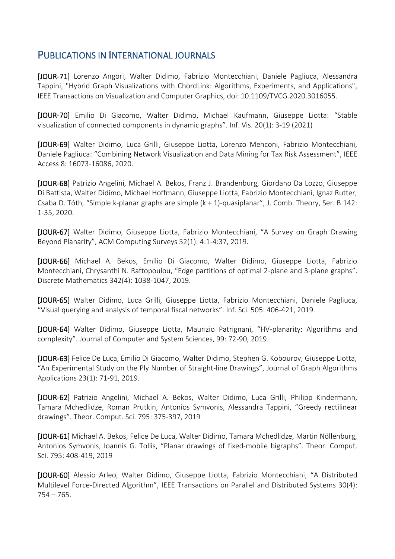## PUBLICATIONS IN INTERNATIONAL JOURNALS

[JOUR-71] Lorenzo Angori, Walter Didimo, Fabrizio Montecchiani, Daniele Pagliuca, Alessandra Tappini, "Hybrid Graph Visualizations with ChordLink: Algorithms, Experiments, and Applications", IEEE Transactions on Visualization and Computer Graphics, doi: 10.1109/TVCG.2020.3016055.

[JOUR-70] Emilio Di Giacomo, Walter Didimo, Michael Kaufmann, Giuseppe Liotta: "Stable visualization of connected components in dynamic graphs". Inf. Vis. 20(1): 3-19 (2021)

[JOUR-69] Walter Didimo, Luca Grilli, Giuseppe Liotta, Lorenzo Menconi, Fabrizio Montecchiani, Daniele Pagliuca: "Combining Network Visualization and Data Mining for Tax Risk Assessment", IEEE Access 8: 16073-16086, 2020.

[JOUR-68] Patrizio Angelini, Michael A. Bekos, Franz J. Brandenburg, Giordano Da Lozzo, Giuseppe Di Battista, Walter Didimo, Michael Hoffmann, Giuseppe Liotta, Fabrizio Montecchiani, Ignaz Rutter, Csaba D. Tóth, "Simple k-planar graphs are simple (k + 1)-quasiplanar", J. Comb. Theory, Ser. B 142: 1-35, 2020.

[JOUR-67] Walter Didimo, Giuseppe Liotta, Fabrizio Montecchiani, "A Survey on Graph Drawing Beyond Planarity", ACM Computing Surveys 52(1): 4:1-4:37, 2019.

[JOUR-66] Michael A. Bekos, Emilio Di Giacomo, Walter Didimo, Giuseppe Liotta, Fabrizio Montecchiani, Chrysanthi N. Raftopoulou, "Edge partitions of optimal 2-plane and 3-plane graphs". Discrete Mathematics 342(4): 1038-1047, 2019.

[JOUR-65] Walter Didimo, Luca Grilli, Giuseppe Liotta, Fabrizio Montecchiani, Daniele Pagliuca, "Visual querying and analysis of temporal fiscal networks". Inf. Sci. 505: 406-421, 2019.

[JOUR-64] Walter Didimo, Giuseppe Liotta, Maurizio Patrignani, "HV-planarity: Algorithms and complexity". Journal of Computer and System Sciences, 99: 72-90, 2019.

[JOUR-63] Felice De Luca, Emilio Di Giacomo, Walter Didimo, Stephen G. Kobourov, Giuseppe Liotta, "An Experimental Study on the Ply Number of Straight-line Drawings", Journal of Graph Algorithms Applications 23(1): 71-91, 2019.

[JOUR-62] Patrizio Angelini, Michael A. Bekos, Walter Didimo, Luca Grilli, Philipp Kindermann, Tamara Mchedlidze, Roman Prutkin, Antonios Symvonis, Alessandra Tappini, "Greedy rectilinear drawings". Theor. Comput. Sci. 795: 375-397, 2019

[JOUR-61] Michael A. Bekos, Felice De Luca, Walter Didimo, Tamara Mchedlidze, Martin Nöllenburg, Antonios Symvonis, Ioannis G. Tollis, "Planar drawings of fixed-mobile bigraphs". Theor. Comput. Sci. 795: 408-419, 2019

[JOUR-60] Alessio Arleo, Walter Didimo, Giuseppe Liotta, Fabrizio Montecchiani, "A Distributed Multilevel Force-Directed Algorithm", IEEE Transactions on Parallel and Distributed Systems 30(4):  $754 - 765.$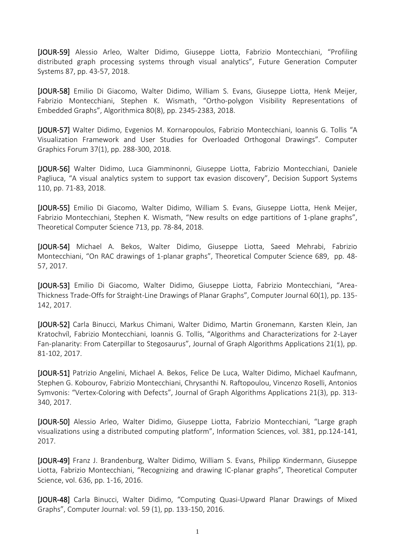[JOUR-59] Alessio Arleo, Walter Didimo, Giuseppe Liotta, Fabrizio Montecchiani, "Profiling distributed graph processing systems through visual analytics", Future Generation Computer Systems 87, pp. 43-57, 2018.

[JOUR-58] Emilio Di Giacomo, Walter Didimo, William S. Evans, Giuseppe Liotta, Henk Meijer, Fabrizio Montecchiani, Stephen K. Wismath, "Ortho-polygon Visibility Representations of Embedded Graphs", Algorithmica 80(8), pp. 2345-2383, 2018.

[JOUR-57] Walter Didimo, Evgenios M. Kornaropoulos, Fabrizio Montecchiani, Ioannis G. Tollis "A Visualization Framework and User Studies for Overloaded Orthogonal Drawings". Computer Graphics Forum 37(1), pp. 288-300, 2018.

[JOUR-56] Walter Didimo, Luca Giamminonni, Giuseppe Liotta, Fabrizio Montecchiani, Daniele Pagliuca, "A visual analytics system to support tax evasion discovery", Decision Support Systems 110, pp. 71-83, 2018.

[JOUR-55] Emilio Di Giacomo, Walter Didimo, William S. Evans, Giuseppe Liotta, Henk Meijer, Fabrizio Montecchiani, Stephen K. Wismath, "New results on edge partitions of 1-plane graphs", Theoretical Computer Science 713, pp. 78-84, 2018.

[JOUR-54] Michael A. Bekos, Walter Didimo, Giuseppe Liotta, Saeed Mehrabi, Fabrizio Montecchiani, "On RAC drawings of 1-planar graphs", Theoretical Computer Science 689, pp. 48- 57, 2017.

[JOUR-53] Emilio Di Giacomo, Walter Didimo, Giuseppe Liotta, Fabrizio Montecchiani, "Area-Thickness Trade-Offs for Straight-Line Drawings of Planar Graphs", Computer Journal 60(1), pp. 135- 142, 2017.

[JOUR-52] Carla Binucci, Markus Chimani, Walter Didimo, Martin Gronemann, Karsten Klein, Jan Kratochvíl, Fabrizio Montecchiani, Ioannis G. Tollis, "Algorithms and Characterizations for 2-Layer Fan-planarity: From Caterpillar to Stegosaurus", Journal of Graph Algorithms Applications 21(1), pp. 81-102, 2017.

[JOUR-51] Patrizio Angelini, Michael A. Bekos, Felice De Luca, Walter Didimo, Michael Kaufmann, Stephen G. Kobourov, Fabrizio Montecchiani, Chrysanthi N. Raftopoulou, Vincenzo Roselli, Antonios Symvonis: "Vertex-Coloring with Defects", Journal of Graph Algorithms Applications 21(3), pp. 313- 340, 2017.

[JOUR-50] Alessio Arleo, Walter Didimo, Giuseppe Liotta, Fabrizio Montecchiani, "Large graph visualizations using a distributed computing platform", Information Sciences, vol. 381, pp.124-141, 2017.

[JOUR-49] Franz J. Brandenburg, Walter Didimo, William S. Evans, Philipp Kindermann, Giuseppe Liotta, Fabrizio Montecchiani, "Recognizing and drawing IC-planar graphs", Theoretical Computer Science, vol. 636, pp. 1-16, 2016.

[JOUR-48] Carla Binucci, Walter Didimo, "Computing Quasi-Upward Planar Drawings of Mixed Graphs", Computer Journal: vol. 59 (1), pp. 133-150, 2016.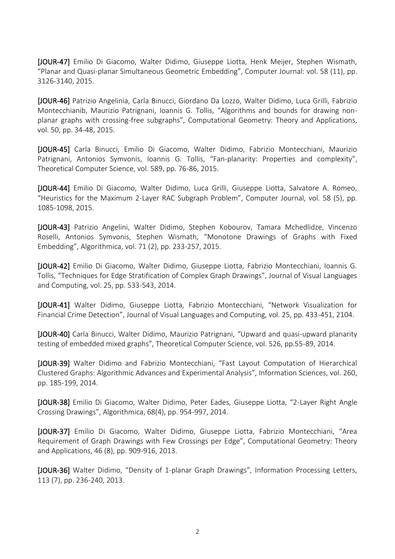[JOUR-47] Emilio Di Giacomo, Walter Didimo, Giuseppe Liotta, Henk Meijer, Stephen Wismath, "Planar and Quasi-planar Simultaneous Geometric Embedding", Computer Journal: vol. 58 (11), pp. 3126-3140, 2015.

[JOUR-46] Patrizio Angelinia, Carla Binucci, Giordano Da Lozzo, Walter Didimo, Luca Grilli, Fabrizio Montecchianib, Maurizio Patrignani, Ioannis G. Tollis, "Algorithms and bounds for drawing nonplanar graphs with crossing-free subgraphs", Computational Geometry: Theory and Applications, vol. 50, pp. 34-48, 2015.

[JOUR-45] Carla Binucci, Emilio Di Giacomo, Walter Didimo, Fabrizio Montecchiani, Maurizio Patrignani, Antonios Symvonis, Ioannis G. Tollis, "Fan-planarity: Properties and complexity", Theoretical Computer Science, vol. 589, pp. 76-86, 2015.

[JOUR-44] Emilio Di Giacomo, Walter Didimo, Luca Grilli, Giuseppe Liotta, Salvatore A. Romeo, "Heuristics for the Maximum 2-Layer RAC Subgraph Problem", Computer Journal, vol. 58 (5), pp. 1085-1098, 2015.

[JOUR-43] Patrizio Angelini, Walter Didimo, Stephen Kobourov, Tamara Mchedlidze, Vincenzo Roselli, Antonios Symvonis, Stephen Wismath, "Monotone Drawings of Graphs with Fixed Embedding", Algorithmica, vol. 71 (2), pp. 233-257, 2015.

[JOUR-42] Emilio Di Giacomo, Walter Didimo, Giuseppe Liotta, Fabrizio Montecchiani, Ioannis G. Tollis, "Techniques for Edge Stratification of Complex Graph Drawings", Journal of Visual Languages and Computing, vol. 25, pp. 533-543, 2014.

[JOUR-41] Walter Didimo, Giuseppe Liotta, Fabrizio Montecchiani, "Network Visualization for Financial Crime Detection", Journal of Visual Languages and Computing, vol. 25, pp. 433-451, 2104.

[JOUR-40] Carla Binucci, Walter Didimo, Maurizio Patrignani, "Upward and quasi-upward planarity testing of embedded mixed graphs", Theoretical Computer Science, vol. 526, pp.55-89, 2014.

[JOUR-39] Walter Didimo and Fabrizio Montecchiani, "Fast Layout Computation of Hierarchical Clustered Graphs: Algorithmic Advances and Experimental Analysis", Information Sciences, vol. 260, pp. 185-199, 2014.

[JOUR-38] Emilio Di Giacomo, Walter Didimo, Peter Eades, Giuseppe Liotta, "2-Layer Right Angle Crossing Drawings", Algorithmica, 68(4), pp. 954-997, 2014.

[JOUR-37] Emilio Di Giacomo, Walter Didimo, Giuseppe Liotta, Fabrizio Montecchiani, "Area Requirement of Graph Drawings with Few Crossings per Edge", Computational Geometry: Theory and Applications, 46 (8), pp. 909-916, 2013.

[JOUR-36] Walter Didimo, "Density of 1-planar Graph Drawings", Information Processing Letters, 113 (7), pp. 236-240, 2013.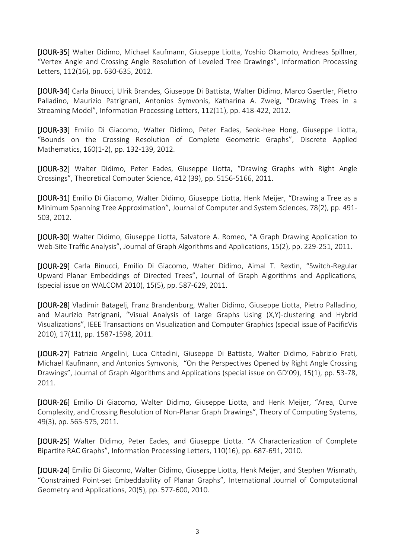[JOUR-35] Walter Didimo, Michael Kaufmann, Giuseppe Liotta, Yoshio Okamoto, Andreas Spillner, "Vertex Angle and Crossing Angle Resolution of Leveled Tree Drawings", Information Processing Letters, 112(16), pp. 630-635, 2012.

[JOUR-34] Carla Binucci, Ulrik Brandes, Giuseppe Di Battista, Walter Didimo, Marco Gaertler, Pietro Palladino, Maurizio Patrignani, Antonios Symvonis, Katharina A. Zweig, "Drawing Trees in a Streaming Model", Information Processing Letters, 112(11), pp. 418-422, 2012.

[JOUR-33] Emilio Di Giacomo, Walter Didimo, Peter Eades, Seok-hee Hong, Giuseppe Liotta, "Bounds on the Crossing Resolution of Complete Geometric Graphs", Discrete Applied Mathematics, 160(1-2), pp. 132-139, 2012.

[JOUR-32] Walter Didimo, Peter Eades, Giuseppe Liotta, "Drawing Graphs with Right Angle Crossings", Theoretical Computer Science, 412 (39), pp. 5156-5166, 2011.

[JOUR-31] Emilio Di Giacomo, Walter Didimo, Giuseppe Liotta, Henk Meijer, "Drawing a Tree as a Minimum Spanning Tree Approximation", Journal of Computer and System Sciences, 78(2), pp. 491- 503, 2012.

[JOUR-30] Walter Didimo, Giuseppe Liotta, Salvatore A. Romeo, "A Graph Drawing Application to Web-Site Traffic Analysis", Journal of Graph Algorithms and Applications, 15(2), pp. 229-251, 2011.

[JOUR-29] Carla Binucci, Emilio Di Giacomo, Walter Didimo, Aimal T. Rextin, "Switch-Regular Upward Planar Embeddings of Directed Trees", Journal of Graph Algorithms and Applications, (special issue on WALCOM 2010), 15(5), pp. 587-629, 2011.

[JOUR-28] Vladimir Batagelj, Franz Brandenburg, Walter Didimo, Giuseppe Liotta, Pietro Palladino, and Maurizio Patrignani, "Visual Analysis of Large Graphs Using (X,Y)-clustering and Hybrid Visualizations", IEEE Transactions on Visualization and Computer Graphics (special issue of PacificVis 2010), 17(11), pp. 1587-1598, 2011.

[JOUR-27] Patrizio Angelini, Luca Cittadini, Giuseppe Di Battista, Walter Didimo, Fabrizio Frati, Michael Kaufmann, and Antonios Symvonis, "On the Perspectives Opened by Right Angle Crossing Drawings", Journal of Graph Algorithms and Applications (special issue on GD'09), 15(1), pp. 53-78, 2011.

[JOUR-26] Emilio Di Giacomo, Walter Didimo, Giuseppe Liotta, and Henk Meijer, "Area, Curve Complexity, and Crossing Resolution of Non-Planar Graph Drawings", Theory of Computing Systems, 49(3), pp. 565-575, 2011.

[JOUR-25] Walter Didimo, Peter Eades, and Giuseppe Liotta. "A Characterization of Complete Bipartite RAC Graphs", Information Processing Letters, 110(16), pp. 687-691, 2010.

[JOUR-24] Emilio Di Giacomo, Walter Didimo, Giuseppe Liotta, Henk Meijer, and Stephen Wismath, "Constrained Point-set Embeddability of Planar Graphs", International Journal of Computational Geometry and Applications, 20(5), pp. 577-600, 2010.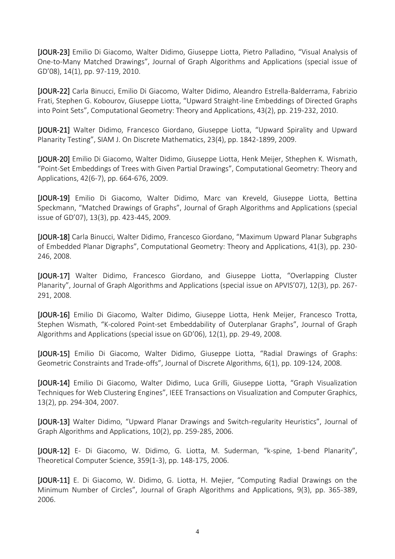[JOUR-23] Emilio Di Giacomo, Walter Didimo, Giuseppe Liotta, Pietro Palladino, "Visual Analysis of One-to-Many Matched Drawings", Journal of Graph Algorithms and Applications (special issue of GD'08), 14(1), pp. 97-119, 2010.

[JOUR-22] Carla Binucci, Emilio Di Giacomo, Walter Didimo, Aleandro Estrella-Balderrama, Fabrizio Frati, Stephen G. Kobourov, Giuseppe Liotta, "Upward Straight-line Embeddings of Directed Graphs into Point Sets", Computational Geometry: Theory and Applications, 43(2), pp. 219-232, 2010.

[JOUR-21] Walter Didimo, Francesco Giordano, Giuseppe Liotta, "Upward Spirality and Upward Planarity Testing", SIAM J. On Discrete Mathematics, 23(4), pp. 1842-1899, 2009.

[JOUR-20] Emilio Di Giacomo, Walter Didimo, Giuseppe Liotta, Henk Meijer, Sthephen K. Wismath, "Point-Set Embeddings of Trees with Given Partial Drawings", Computational Geometry: Theory and Applications, 42(6-7), pp. 664-676, 2009.

[JOUR-19] Emilio Di Giacomo, Walter Didimo, Marc van Kreveld, Giuseppe Liotta, Bettina Speckmann, "Matched Drawings of Graphs", Journal of Graph Algorithms and Applications (special issue of GD'07), 13(3), pp. 423-445, 2009.

[JOUR-18] Carla Binucci, Walter Didimo, Francesco Giordano, "Maximum Upward Planar Subgraphs of Embedded Planar Digraphs", Computational Geometry: Theory and Applications, 41(3), pp. 230- 246, 2008.

[JOUR-17] Walter Didimo, Francesco Giordano, and Giuseppe Liotta, "Overlapping Cluster Planarity", Journal of Graph Algorithms and Applications (special issue on APVIS'07), 12(3), pp. 267- 291, 2008.

[JOUR-16] Emilio Di Giacomo, Walter Didimo, Giuseppe Liotta, Henk Meijer, Francesco Trotta, Stephen Wismath, "K-colored Point-set Embeddability of Outerplanar Graphs", Journal of Graph Algorithms and Applications (special issue on GD'06), 12(1), pp. 29-49, 2008.

[JOUR-15] Emilio Di Giacomo, Walter Didimo, Giuseppe Liotta, "Radial Drawings of Graphs: Geometric Constraints and Trade-offs", Journal of Discrete Algorithms, 6(1), pp. 109-124, 2008.

[JOUR-14] Emilio Di Giacomo, Walter Didimo, Luca Grilli, Giuseppe Liotta, "Graph Visualization Techniques for Web Clustering Engines", IEEE Transactions on Visualization and Computer Graphics, 13(2), pp. 294-304, 2007.

[JOUR-13] Walter Didimo, "Upward Planar Drawings and Switch-regularity Heuristics", Journal of Graph Algorithms and Applications, 10(2), pp. 259-285, 2006.

[JOUR-12] E- Di Giacomo, W. Didimo, G. Liotta, M. Suderman, "k-spine, 1-bend Planarity", Theoretical Computer Science, 359(1-3), pp. 148-175, 2006.

[JOUR-11] E. Di Giacomo, W. Didimo, G. Liotta, H. Mejier, "Computing Radial Drawings on the Minimum Number of Circles", Journal of Graph Algorithms and Applications, 9(3), pp. 365-389, 2006.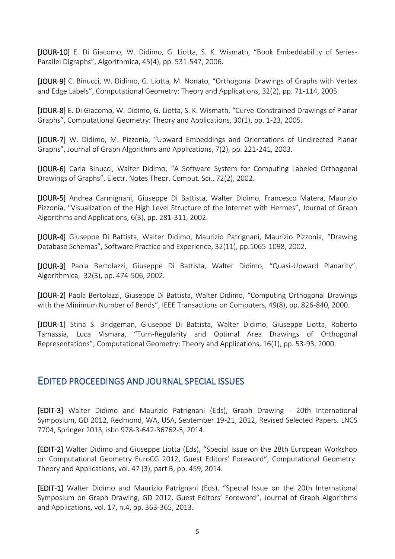[JOUR-10] E. Di Giacomo, W. Didimo, G. Liotta, S. K. Wismath, "Book Embeddability of Series-Parallel Digraphs", Algorithmica, 45(4), pp. 531-547, 2006.

[JOUR-9] C. Binucci, W. Didimo, G. Liotta, M. Nonato, "Orthogonal Drawings of Graphs with Vertex and Edge Labels", Computational Geometry: Theory and Applications, 32(2), pp. 71-114, 2005.

[JOUR-8] E. Di Giacomo, W. Didimo, G. Liotta, S. K. Wismath, "Curve-Constrained Drawings of Planar Graphs", Computational Geometry: Theory and Applications, 30(1), pp. 1-23, 2005.

[JOUR-7] W. Didimo, M. Pizzonia, "Upward Embeddings and Orientations of Undirected Planar Graphs", Journal of Graph Algorithms and Applications, 7(2), pp. 221-241, 2003.

[JOUR-6] Carla Binucci, Walter Didimo, "A Software System for Computing Labeled Orthogonal Drawings of Graphs", Electr. Notes Theor. Comput. Sci., 72(2), 2002.

[JOUR-5] Andrea Carmignani, Giuseppe Di Battista, Walter Didimo, Francesco Matera, Maurizio Pizzonia, "Visualization of the High Level Structure of the Internet with Hermes", Journal of Graph Algorithms and Applications, 6(3), pp. 281-311, 2002.

[JOUR-4] Giuseppe Di Battista, Walter Didimo, Maurizio Patrignani, Maurizio Pizzonia, "Drawing Database Schemas", Software Practice and Experience, 32(11), pp.1065-1098, 2002.

[JOUR-3] Paola Bertolazzi, Giuseppe Di Battista, Walter Didimo, "Quasi-Upward Planarity", Algorithmica, 32(3), pp. 474-506, 2002.

[JOUR-2] Paola Bertolazzi, Giuseppe Di Battista, Walter Didimo, "Computing Orthogonal Drawings with the Minimum Number of Bends", IEEE Transactions on Computers, 49(8), pp. 826-840, 2000.

[JOUR-1] Stina S. Bridgeman, Giuseppe Di Battista, Walter Didimo, Giuseppe Liotta, Roberto Tamassia, Luca Vismara, "Turn-Regularity and Optimal Area Drawings of Orthogonal Representations", Computational Geometry: Theory and Applications, 16(1), pp. 53-93, 2000.

## EDITED PROCEEDINGS AND JOURNAL SPECIAL ISSUES

[EDIT-3] Walter Didimo and Maurizio Patrignani (Eds), Graph Drawing - 20th International Symposium, GD 2012, Redmond, WA, USA, September 19-21, 2012, Revised Selected Papers. LNCS 7704, Springer 2013, isbn 978-3-642-36762-5, 2014.

[EDIT-2] Walter Didimo and Giuseppe Liotta (Eds), "Special Issue on the 28th European Workshop on Computational Geometry EuroCG 2012, Guest Editors' Foreword", Computational Geometry: Theory and Applications, vol. 47 (3), part B, pp. 459, 2014.

[EDIT-1] Walter Didimo and Maurizio Patrignani (Eds), "Special Issue on the 20th International Symposium on Graph Drawing, GD 2012, Guest Editors' Foreword", Journal of Graph Algorithms and Applications, vol. 17, n.4, pp. 363-365, 2013.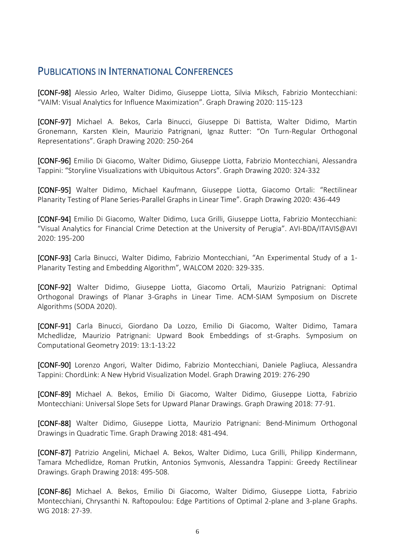## PUBLICATIONS IN INTERNATIONAL CONFERENCES

[CONF-98] Alessio Arleo, Walter Didimo, Giuseppe Liotta, Silvia Miksch, Fabrizio Montecchiani: "VAIM: Visual Analytics for Influence Maximization". Graph Drawing 2020: 115-123

[CONF-97] Michael A. Bekos, Carla Binucci, Giuseppe Di Battista, Walter Didimo, Martin Gronemann, Karsten Klein, Maurizio Patrignani, Ignaz Rutter: "On Turn-Regular Orthogonal Representations". Graph Drawing 2020: 250-264

[CONF-96] Emilio Di Giacomo, Walter Didimo, Giuseppe Liotta, Fabrizio Montecchiani, Alessandra Tappini: "Storyline Visualizations with Ubiquitous Actors". Graph Drawing 2020: 324-332

[CONF-95] Walter Didimo, Michael Kaufmann, Giuseppe Liotta, Giacomo Ortali: "Rectilinear Planarity Testing of Plane Series-Parallel Graphs in Linear Time". Graph Drawing 2020: 436-449

[CONF-94] Emilio Di Giacomo, Walter Didimo, Luca Grilli, Giuseppe Liotta, Fabrizio Montecchiani: "Visual Analytics for Financial Crime Detection at the University of Perugia". AVI-BDA/ITAVIS@AVI 2020: 195-200

[CONF-93] Carla Binucci, Walter Didimo, Fabrizio Montecchiani, "An Experimental Study of a 1- Planarity Testing and Embedding Algorithm", WALCOM 2020: 329-335.

[CONF-92] Walter Didimo, Giuseppe Liotta, Giacomo Ortali, Maurizio Patrignani: Optimal Orthogonal Drawings of Planar 3-Graphs in Linear Time. ACM-SIAM Symposium on Discrete Algorithms (SODA 2020).

[CONF-91] Carla Binucci, Giordano Da Lozzo, Emilio Di Giacomo, Walter Didimo, Tamara Mchedlidze, Maurizio Patrignani: Upward Book Embeddings of st-Graphs. Symposium on Computational Geometry 2019: 13:1-13:22

[CONF-90] Lorenzo Angori, Walter Didimo, Fabrizio Montecchiani, Daniele Pagliuca, Alessandra Tappini: ChordLink: A New Hybrid Visualization Model. Graph Drawing 2019: 276-290

[CONF-89] Michael A. Bekos, Emilio Di Giacomo, Walter Didimo, Giuseppe Liotta, Fabrizio Montecchiani: Universal Slope Sets for Upward Planar Drawings. Graph Drawing 2018: 77-91.

[CONF-88] Walter Didimo, Giuseppe Liotta, Maurizio Patrignani: Bend-Minimum Orthogonal Drawings in Quadratic Time. Graph Drawing 2018: 481-494.

[CONF-87] Patrizio Angelini, Michael A. Bekos, Walter Didimo, Luca Grilli, Philipp Kindermann, Tamara Mchedlidze, Roman Prutkin, Antonios Symvonis, Alessandra Tappini: Greedy Rectilinear Drawings. Graph Drawing 2018: 495-508.

[CONF-86] Michael A. Bekos, Emilio Di Giacomo, Walter Didimo, Giuseppe Liotta, Fabrizio Montecchiani, Chrysanthi N. Raftopoulou: Edge Partitions of Optimal 2-plane and 3-plane Graphs. WG 2018: 27-39.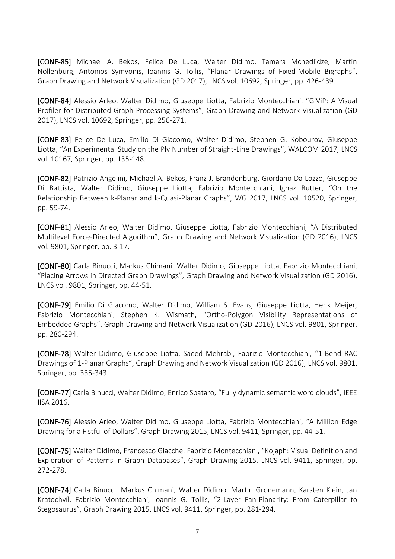[CONF-85] Michael A. Bekos, Felice De Luca, Walter Didimo, Tamara Mchedlidze, Martin Nöllenburg, Antonios Symvonis, Ioannis G. Tollis, "Planar Drawings of Fixed-Mobile Bigraphs", Graph Drawing and Network Visualization (GD 2017), LNCS vol. 10692, Springer, pp. 426-439.

[CONF-84] Alessio Arleo, Walter Didimo, Giuseppe Liotta, Fabrizio Montecchiani, "GiViP: A Visual Profiler for Distributed Graph Processing Systems", Graph Drawing and Network Visualization (GD 2017), LNCS vol. 10692, Springer, pp. 256-271.

[CONF-83] Felice De Luca, Emilio Di Giacomo, Walter Didimo, Stephen G. Kobourov, Giuseppe Liotta, "An Experimental Study on the Ply Number of Straight-Line Drawings", WALCOM 2017, LNCS vol. 10167, Springer, pp. 135-148.

[CONF-82] Patrizio Angelini, Michael A. Bekos, Franz J. Brandenburg, Giordano Da Lozzo, Giuseppe Di Battista, Walter Didimo, Giuseppe Liotta, Fabrizio Montecchiani, Ignaz Rutter, "On the Relationship Between k-Planar and k-Quasi-Planar Graphs", WG 2017, LNCS vol. 10520, Springer, pp. 59-74.

[CONF-81] Alessio Arleo, Walter Didimo, Giuseppe Liotta, Fabrizio Montecchiani, "A Distributed Multilevel Force-Directed Algorithm", Graph Drawing and Network Visualization (GD 2016), LNCS vol. 9801, Springer, pp. 3-17.

[CONF-80] Carla Binucci, Markus Chimani, Walter Didimo, Giuseppe Liotta, Fabrizio Montecchiani, "Placing Arrows in Directed Graph Drawings", Graph Drawing and Network Visualization (GD 2016), LNCS vol. 9801, Springer, pp. 44-51.

[CONF-79] Emilio Di Giacomo, Walter Didimo, William S. Evans, Giuseppe Liotta, Henk Meijer, Fabrizio Montecchiani, Stephen K. Wismath, "Ortho-Polygon Visibility Representations of Embedded Graphs", Graph Drawing and Network Visualization (GD 2016), LNCS vol. 9801, Springer, pp. 280-294.

[CONF-78] Walter Didimo, Giuseppe Liotta, Saeed Mehrabi, Fabrizio Montecchiani, "1-Bend RAC Drawings of 1-Planar Graphs", Graph Drawing and Network Visualization (GD 2016), LNCS vol. 9801, Springer, pp. 335-343.

[CONF-77] Carla Binucci, Walter Didimo, Enrico Spataro, "Fully dynamic semantic word clouds", IEEE IISA 2016.

[CONF-76] Alessio Arleo, Walter Didimo, Giuseppe Liotta, Fabrizio Montecchiani, "A Million Edge Drawing for a Fistful of Dollars", Graph Drawing 2015, LNCS vol. 9411, Springer, pp. 44-51.

[CONF-75] Walter Didimo, Francesco Giacchè, Fabrizio Montecchiani, "Kojaph: Visual Definition and Exploration of Patterns in Graph Databases", Graph Drawing 2015, LNCS vol. 9411, Springer, pp. 272-278.

[CONF-74] Carla Binucci, Markus Chimani, Walter Didimo, Martin Gronemann, Karsten Klein, Jan Kratochvíl, Fabrizio Montecchiani, Ioannis G. Tollis, "2-Layer Fan-Planarity: From Caterpillar to Stegosaurus", Graph Drawing 2015, LNCS vol. 9411, Springer, pp. 281-294.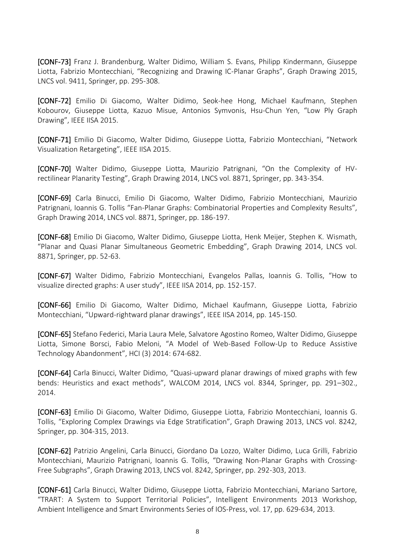[CONF-73] Franz J. Brandenburg, Walter Didimo, William S. Evans, Philipp Kindermann, Giuseppe Liotta, Fabrizio Montecchiani, "Recognizing and Drawing IC-Planar Graphs", Graph Drawing 2015, LNCS vol. 9411, Springer, pp. 295-308.

[CONF-72] Emilio Di Giacomo, Walter Didimo, Seok-hee Hong, Michael Kaufmann, Stephen Kobourov, Giuseppe Liotta, Kazuo Misue, Antonios Symvonis, Hsu-Chun Yen, "Low Ply Graph Drawing", IEEE IISA 2015.

[CONF-71] Emilio Di Giacomo, Walter Didimo, Giuseppe Liotta, Fabrizio Montecchiani, "Network Visualization Retargeting", IEEE IISA 2015.

[CONF-70] Walter Didimo, Giuseppe Liotta, Maurizio Patrignani, "On the Complexity of HVrectilinear Planarity Testing", Graph Drawing 2014, LNCS vol. 8871, Springer, pp. 343-354.

[CONF-69] Carla Binucci, Emilio Di Giacomo, Walter Didimo, Fabrizio Montecchiani, Maurizio Patrignani, Ioannis G. Tollis "Fan-Planar Graphs: Combinatorial Properties and Complexity Results", Graph Drawing 2014, LNCS vol. 8871, Springer, pp. 186-197.

[CONF-68] Emilio Di Giacomo, Walter Didimo, Giuseppe Liotta, Henk Meijer, Stephen K. Wismath, "Planar and Quasi Planar Simultaneous Geometric Embedding", Graph Drawing 2014, LNCS vol. 8871, Springer, pp. 52-63.

[CONF-67] Walter Didimo, Fabrizio Montecchiani, Evangelos Pallas, Ioannis G. Tollis, "How to visualize directed graphs: A user study", IEEE IISA 2014, pp. 152-157.

[CONF-66] Emilio Di Giacomo, Walter Didimo, Michael Kaufmann, Giuseppe Liotta, Fabrizio Montecchiani, "Upward-rightward planar drawings", IEEE IISA 2014, pp. 145-150.

[CONF-65] Stefano Federici, Maria Laura Mele, Salvatore Agostino Romeo, Walter Didimo, Giuseppe Liotta, Simone Borsci, Fabio Meloni, "A Model of Web-Based Follow-Up to Reduce Assistive Technology Abandonment", HCI (3) 2014: 674-682.

[CONF-64] Carla Binucci, Walter Didimo, "Quasi-upward planar drawings of mixed graphs with few bends: Heuristics and exact methods", WALCOM 2014, LNCS vol. 8344, Springer, pp. 291–302., 2014.

[CONF-63] Emilio Di Giacomo, Walter Didimo, Giuseppe Liotta, Fabrizio Montecchiani, Ioannis G. Tollis, "Exploring Complex Drawings via Edge Stratification", Graph Drawing 2013, LNCS vol. 8242, Springer, pp. 304-315, 2013.

[CONF-62] Patrizio Angelini, Carla Binucci, Giordano Da Lozzo, Walter Didimo, Luca Grilli, Fabrizio Montecchiani, Maurizio Patrignani, Ioannis G. Tollis, "Drawing Non-Planar Graphs with Crossing-Free Subgraphs", Graph Drawing 2013, LNCS vol. 8242, Springer, pp. 292-303, 2013.

[CONF-61] Carla Binucci, Walter Didimo, Giuseppe Liotta, Fabrizio Montecchiani, Mariano Sartore, "TRART: A System to Support Territorial Policies", Intelligent Environments 2013 Workshop, Ambient Intelligence and Smart Environments Series of IOS-Press, vol. 17, pp. 629-634, 2013.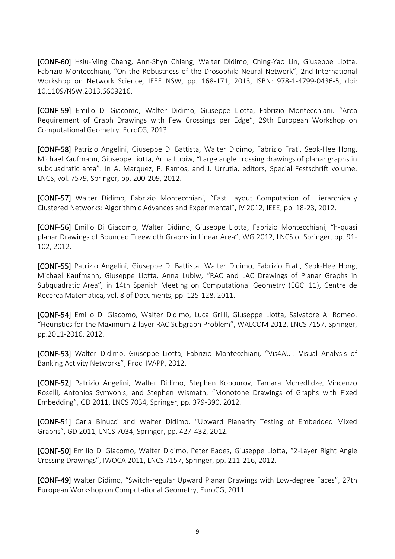[CONF-60] Hsiu-Ming Chang, Ann-Shyn Chiang, Walter Didimo, Ching-Yao Lin, Giuseppe Liotta, Fabrizio Montecchiani, "On the Robustness of the Drosophila Neural Network", 2nd International Workshop on Network Science, IEEE NSW, pp. 168-171, 2013, ISBN: 978-1-4799-0436-5, doi: 10.1109/NSW.2013.6609216.

[CONF-59] Emilio Di Giacomo, Walter Didimo, Giuseppe Liotta, Fabrizio Montecchiani. "Area Requirement of Graph Drawings with Few Crossings per Edge", 29th European Workshop on Computational Geometry, EuroCG, 2013.

[CONF-58] Patrizio Angelini, Giuseppe Di Battista, Walter Didimo, Fabrizio Frati, Seok-Hee Hong, Michael Kaufmann, Giuseppe Liotta, Anna Lubiw, "Large angle crossing drawings of planar graphs in subquadratic area". In A. Marquez, P. Ramos, and J. Urrutia, editors, Special Festschrift volume, LNCS, vol. 7579, Springer, pp. 200-209, 2012.

[CONF-57] Walter Didimo, Fabrizio Montecchiani, "Fast Layout Computation of Hierarchically Clustered Networks: Algorithmic Advances and Experimental", IV 2012, IEEE, pp. 18-23, 2012.

[CONF-56] Emilio Di Giacomo, Walter Didimo, Giuseppe Liotta, Fabrizio Montecchiani, "h-quasi planar Drawings of Bounded Treewidth Graphs in Linear Area", WG 2012, LNCS of Springer, pp. 91- 102, 2012.

[CONF-55] Patrizio Angelini, Giuseppe Di Battista, Walter Didimo, Fabrizio Frati, Seok-Hee Hong, Michael Kaufmann, Giuseppe Liotta, Anna Lubiw, "RAC and LAC Drawings of Planar Graphs in Subquadratic Area", in 14th Spanish Meeting on Computational Geometry (EGC '11), Centre de Recerca Matematica, vol. 8 of Documents, pp. 125-128, 2011.

[CONF-54] Emilio Di Giacomo, Walter Didimo, Luca Grilli, Giuseppe Liotta, Salvatore A. Romeo, "Heuristics for the Maximum 2-layer RAC Subgraph Problem", WALCOM 2012, LNCS 7157, Springer, pp.2011-2016, 2012.

[CONF-53] Walter Didimo, Giuseppe Liotta, Fabrizio Montecchiani, "Vis4AUI: Visual Analysis of Banking Activity Networks", Proc. IVAPP, 2012.

[CONF-52] Patrizio Angelini, Walter Didimo, Stephen Kobourov, Tamara Mchedlidze, Vincenzo Roselli, Antonios Symvonis, and Stephen Wismath, "Monotone Drawings of Graphs with Fixed Embedding", GD 2011, LNCS 7034, Springer, pp. 379-390, 2012.

[CONF-51] Carla Binucci and Walter Didimo, "Upward Planarity Testing of Embedded Mixed Graphs", GD 2011, LNCS 7034, Springer, pp. 427-432, 2012.

[CONF-50] Emilio Di Giacomo, Walter Didimo, Peter Eades, Giuseppe Liotta, "2-Layer Right Angle Crossing Drawings", IWOCA 2011, LNCS 7157, Springer, pp. 211-216, 2012.

[CONF-49] Walter Didimo, "Switch-regular Upward Planar Drawings with Low-degree Faces", 27th European Workshop on Computational Geometry, EuroCG, 2011.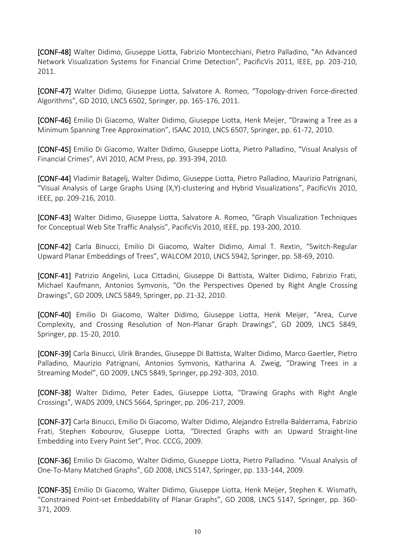[CONF-48] Walter Didimo, Giuseppe Liotta, Fabrizio Montecchiani, Pietro Palladino, "An Advanced Network Visualization Systems for Financial Crime Detection", PacificVis 2011, IEEE, pp. 203-210, 2011.

[CONF-47] Walter Didimo, Giuseppe Liotta, Salvatore A. Romeo, "Topology-driven Force-directed Algorithms", GD 2010, LNCS 6502, Springer, pp. 165-176, 2011.

[CONF-46] Emilio Di Giacomo, Walter Didimo, Giuseppe Liotta, Henk Meijer, "Drawing a Tree as a Minimum Spanning Tree Approximation", ISAAC 2010, LNCS 6507, Springer, pp. 61-72, 2010.

[CONF-45] Emilio Di Giacomo, Walter Didimo, Giuseppe Liotta, Pietro Palladino, "Visual Analysis of Financial Crimes", AVI 2010, ACM Press, pp. 393-394, 2010.

[CONF-44] Vladimir Batagelj, Walter Didimo, Giuseppe Liotta, Pietro Palladino, Maurizio Patrignani, "Visual Analysis of Large Graphs Using (X,Y)-clustering and Hybrid Visualizations", PacificVis 2010, IEEE, pp. 209-216, 2010.

[CONF-43] Walter Didimo, Giuseppe Liotta, Salvatore A. Romeo, "Graph Visualization Techniques for Conceptual Web Site Traffic Analysis", PacificVis 2010, IEEE, pp. 193-200, 2010.

[CONF-42] Carla Binucci, Emilio Di Giacomo, Walter Didimo, Aimal T. Rextin, "Switch-Regular Upward Planar Embeddings of Trees", WALCOM 2010, LNCS 5942, Springer, pp. 58-69, 2010.

[CONF-41] Patrizio Angelini, Luca Cittadini, Giuseppe Di Battista, Walter Didimo, Fabrizio Frati, Michael Kaufmann, Antonios Symvonis, "On the Perspectives Opened by Right Angle Crossing Drawings", GD 2009, LNCS 5849, Springer, pp. 21-32, 2010.

[CONF-40] Emilio Di Giacomo, Walter Didimo, Giuseppe Liotta, Henk Meijer, "Area, Curve Complexity, and Crossing Resolution of Non-Planar Graph Drawings", GD 2009, LNCS 5849, Springer, pp. 15-20, 2010.

[CONF-39] Carla Binucci, Ulrik Brandes, Giuseppe Di Battista, Walter Didimo, Marco Gaertler, Pietro Palladino, Maurizio Patrignani, Antonios Symvonis, Katharina A. Zweig, "Drawing Trees in a Streaming Model", GD 2009, LNCS 5849, Springer, pp.292-303, 2010.

[CONF-38] Walter Didimo, Peter Eades, Giuseppe Liotta, "Drawing Graphs with Right Angle Crossings", WADS 2009, LNCS 5664, Springer, pp. 206-217, 2009.

[CONF-37] Carla Binucci, Emilio Di Giacomo, Walter Didimo, Alejandro Estrella-Balderrama, Fabrizio Frati, Stephen Kobourov, Giuseppe Liotta, "Directed Graphs with an Upward Straight-line Embedding into Every Point Set", Proc. CCCG, 2009.

[CONF-36] Emilio Di Giacomo, Walter Didimo, Giuseppe Liotta, Pietro Palladino. "Visual Analysis of One-To-Many Matched Graphs", GD 2008, LNCS 5147, Springer, pp. 133-144, 2009.

[CONF-35] Emilio Di Giacomo, Walter Didimo, Giuseppe Liotta, Henk Meijer, Stephen K. Wismath, "Constrained Point-set Embeddability of Planar Graphs", GD 2008, LNCS 5147, Springer, pp. 360- 371, 2009.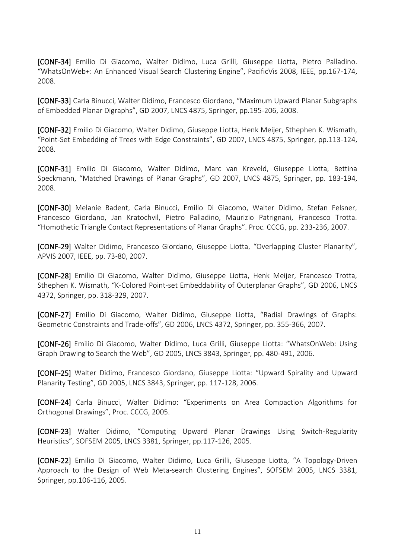[CONF-34] Emilio Di Giacomo, Walter Didimo, Luca Grilli, Giuseppe Liotta, Pietro Palladino. "WhatsOnWeb+: An Enhanced Visual Search Clustering Engine", PacificVis 2008, IEEE, pp.167-174, 2008.

[CONF-33] Carla Binucci, Walter Didimo, Francesco Giordano, "Maximum Upward Planar Subgraphs of Embedded Planar Digraphs", GD 2007, LNCS 4875, Springer, pp.195-206, 2008.

[CONF-32] Emilio Di Giacomo, Walter Didimo, Giuseppe Liotta, Henk Meijer, Sthephen K. Wismath, "Point-Set Embedding of Trees with Edge Constraints", GD 2007, LNCS 4875, Springer, pp.113-124, 2008.

[CONF-31] Emilio Di Giacomo, Walter Didimo, Marc van Kreveld, Giuseppe Liotta, Bettina Speckmann, "Matched Drawings of Planar Graphs", GD 2007, LNCS 4875, Springer, pp. 183-194, 2008.

[CONF-30] Melanie Badent, Carla Binucci, Emilio Di Giacomo, Walter Didimo, Stefan Felsner, Francesco Giordano, Jan Kratochvil, Pietro Palladino, Maurizio Patrignani, Francesco Trotta. "Homothetic Triangle Contact Representations of Planar Graphs". Proc. CCCG, pp. 233-236, 2007.

[CONF-29] Walter Didimo, Francesco Giordano, Giuseppe Liotta, "Overlapping Cluster Planarity", APVIS 2007, IEEE, pp. 73-80, 2007.

[CONF-28] Emilio Di Giacomo, Walter Didimo, Giuseppe Liotta, Henk Meijer, Francesco Trotta, Sthephen K. Wismath, "K-Colored Point-set Embeddability of Outerplanar Graphs", GD 2006, LNCS 4372, Springer, pp. 318-329, 2007.

[CONF-27] Emilio Di Giacomo, Walter Didimo, Giuseppe Liotta, "Radial Drawings of Graphs: Geometric Constraints and Trade-offs", GD 2006, LNCS 4372, Springer, pp. 355-366, 2007.

[CONF-26] Emilio Di Giacomo, Walter Didimo, Luca Grilli, Giuseppe Liotta: "WhatsOnWeb: Using Graph Drawing to Search the Web", GD 2005, LNCS 3843, Springer, pp. 480-491, 2006.

[CONF-25] Walter Didimo, Francesco Giordano, Giuseppe Liotta: "Upward Spirality and Upward Planarity Testing", GD 2005, LNCS 3843, Springer, pp. 117-128, 2006.

[CONF-24] Carla Binucci, Walter Didimo: "Experiments on Area Compaction Algorithms for Orthogonal Drawings", Proc. CCCG, 2005.

[CONF-23] Walter Didimo, "Computing Upward Planar Drawings Using Switch-Regularity Heuristics", SOFSEM 2005, LNCS 3381, Springer, pp.117-126, 2005.

[CONF-22] Emilio Di Giacomo, Walter Didimo, Luca Grilli, Giuseppe Liotta, "A Topology-Driven Approach to the Design of Web Meta-search Clustering Engines", SOFSEM 2005, LNCS 3381, Springer, pp.106-116, 2005.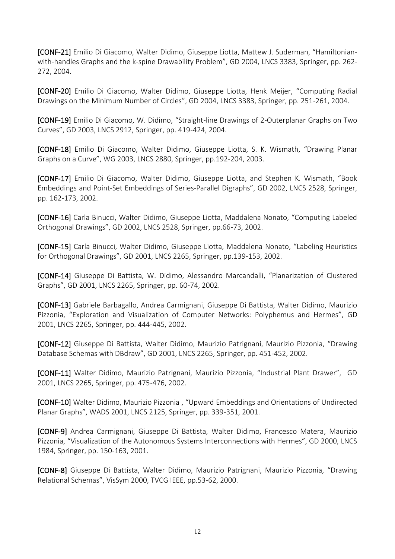[CONF-21] Emilio Di Giacomo, Walter Didimo, Giuseppe Liotta, Mattew J. Suderman, "Hamiltonianwith-handles Graphs and the k-spine Drawability Problem", GD 2004, LNCS 3383, Springer, pp. 262- 272, 2004.

[CONF-20] Emilio Di Giacomo, Walter Didimo, Giuseppe Liotta, Henk Meijer, "Computing Radial Drawings on the Minimum Number of Circles", GD 2004, LNCS 3383, Springer, pp. 251-261, 2004.

[CONF-19] Emilio Di Giacomo, W. Didimo, "Straight-line Drawings of 2-Outerplanar Graphs on Two Curves", GD 2003, LNCS 2912, Springer, pp. 419-424, 2004.

[CONF-18] Emilio Di Giacomo, Walter Didimo, Giuseppe Liotta, S. K. Wismath, "Drawing Planar Graphs on a Curve", WG 2003, LNCS 2880, Springer, pp.192-204, 2003.

[CONF-17] Emilio Di Giacomo, Walter Didimo, Giuseppe Liotta, and Stephen K. Wismath, "Book Embeddings and Point-Set Embeddings of Series-Parallel Digraphs", GD 2002, LNCS 2528, Springer, pp. 162-173, 2002.

[CONF-16] Carla Binucci, Walter Didimo, Giuseppe Liotta, Maddalena Nonato, "Computing Labeled Orthogonal Drawings", GD 2002, LNCS 2528, Springer, pp.66-73, 2002.

[CONF-15] Carla Binucci, Walter Didimo, Giuseppe Liotta, Maddalena Nonato, "Labeling Heuristics for Orthogonal Drawings", GD 2001, LNCS 2265, Springer, pp.139-153, 2002.

[CONF-14] Giuseppe Di Battista, W. Didimo, Alessandro Marcandalli, "Planarization of Clustered Graphs", GD 2001, LNCS 2265, Springer, pp. 60-74, 2002.

[CONF-13] Gabriele Barbagallo, Andrea Carmignani, Giuseppe Di Battista, Walter Didimo, Maurizio Pizzonia, "Exploration and Visualization of Computer Networks: Polyphemus and Hermes", GD 2001, LNCS 2265, Springer, pp. 444-445, 2002.

[CONF-12] Giuseppe Di Battista, Walter Didimo, Maurizio Patrignani, Maurizio Pizzonia, "Drawing Database Schemas with DBdraw", GD 2001, LNCS 2265, Springer, pp. 451-452, 2002.

[CONF-11] Walter Didimo, Maurizio Patrignani, Maurizio Pizzonia, "Industrial Plant Drawer", GD 2001, LNCS 2265, Springer, pp. 475-476, 2002.

[CONF-10] Walter Didimo, Maurizio Pizzonia , "Upward Embeddings and Orientations of Undirected Planar Graphs", WADS 2001, LNCS 2125, Springer, pp. 339-351, 2001.

[CONF-9] Andrea Carmignani, Giuseppe Di Battista, Walter Didimo, Francesco Matera, Maurizio Pizzonia, "Visualization of the Autonomous Systems Interconnections with Hermes", GD 2000, LNCS 1984, Springer, pp. 150-163, 2001.

[CONF-8] Giuseppe Di Battista, Walter Didimo, Maurizio Patrignani, Maurizio Pizzonia, "Drawing Relational Schemas", VisSym 2000, TVCG IEEE, pp.53-62, 2000.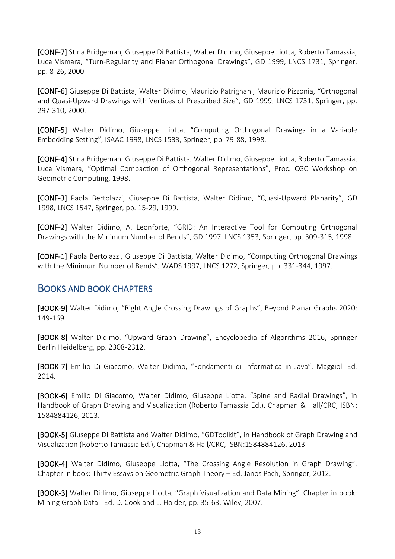[CONF-7] Stina Bridgeman, Giuseppe Di Battista, Walter Didimo, Giuseppe Liotta, Roberto Tamassia, Luca Vismara, "Turn-Regularity and Planar Orthogonal Drawings", GD 1999, LNCS 1731, Springer, pp. 8-26, 2000.

[CONF-6] Giuseppe Di Battista, Walter Didimo, Maurizio Patrignani, Maurizio Pizzonia, "Orthogonal and Quasi-Upward Drawings with Vertices of Prescribed Size", GD 1999, LNCS 1731, Springer, pp. 297-310, 2000.

[CONF-5] Walter Didimo, Giuseppe Liotta, "Computing Orthogonal Drawings in a Variable Embedding Setting", ISAAC 1998, LNCS 1533, Springer, pp. 79-88, 1998.

[CONF-4] Stina Bridgeman, Giuseppe Di Battista, Walter Didimo, Giuseppe Liotta, Roberto Tamassia, Luca Vismara, "Optimal Compaction of Orthogonal Representations", Proc. CGC Workshop on Geometric Computing, 1998.

[CONF-3] Paola Bertolazzi, Giuseppe Di Battista, Walter Didimo, "Quasi-Upward Planarity", GD 1998, LNCS 1547, Springer, pp. 15-29, 1999.

[CONF-2] Walter Didimo, A. Leonforte, "GRID: An Interactive Tool for Computing Orthogonal Drawings with the Minimum Number of Bends", GD 1997, LNCS 1353, Springer, pp. 309-315, 1998.

[CONF-1] Paola Bertolazzi, Giuseppe Di Battista, Walter Didimo, "Computing Orthogonal Drawings with the Minimum Number of Bends", WADS 1997, LNCS 1272, Springer, pp. 331-344, 1997.

## BOOKS AND BOOK CHAPTERS

[BOOK-9] Walter Didimo, "Right Angle Crossing Drawings of Graphs", Beyond Planar Graphs 2020: 149-169

[BOOK-8] Walter Didimo, "Upward Graph Drawing", Encyclopedia of Algorithms 2016, Springer Berlin Heidelberg, pp. 2308-2312.

[BOOK-7] Emilio Di Giacomo, Walter Didimo, "Fondamenti di Informatica in Java", Maggioli Ed. 2014.

[BOOK-6] Emilio Di Giacomo, Walter Didimo, Giuseppe Liotta, "Spine and Radial Drawings", in Handbook of Graph Drawing and Visualization (Roberto Tamassia Ed.), Chapman & Hall/CRC, ISBN: 1584884126, 2013.

[BOOK-5] Giuseppe Di Battista and Walter Didimo, "GDToolkit", in Handbook of Graph Drawing and Visualization (Roberto Tamassia Ed.), Chapman & Hall/CRC, ISBN:1584884126, 2013.

[BOOK-4] Walter Didimo, Giuseppe Liotta, "The Crossing Angle Resolution in Graph Drawing", Chapter in book: Thirty Essays on Geometric Graph Theory – Ed. Janos Pach, Springer, 2012.

[BOOK-3] Walter Didimo, Giuseppe Liotta, "Graph Visualization and Data Mining", Chapter in book: Mining Graph Data - Ed. D. Cook and L. Holder, pp. 35-63, Wiley, 2007.